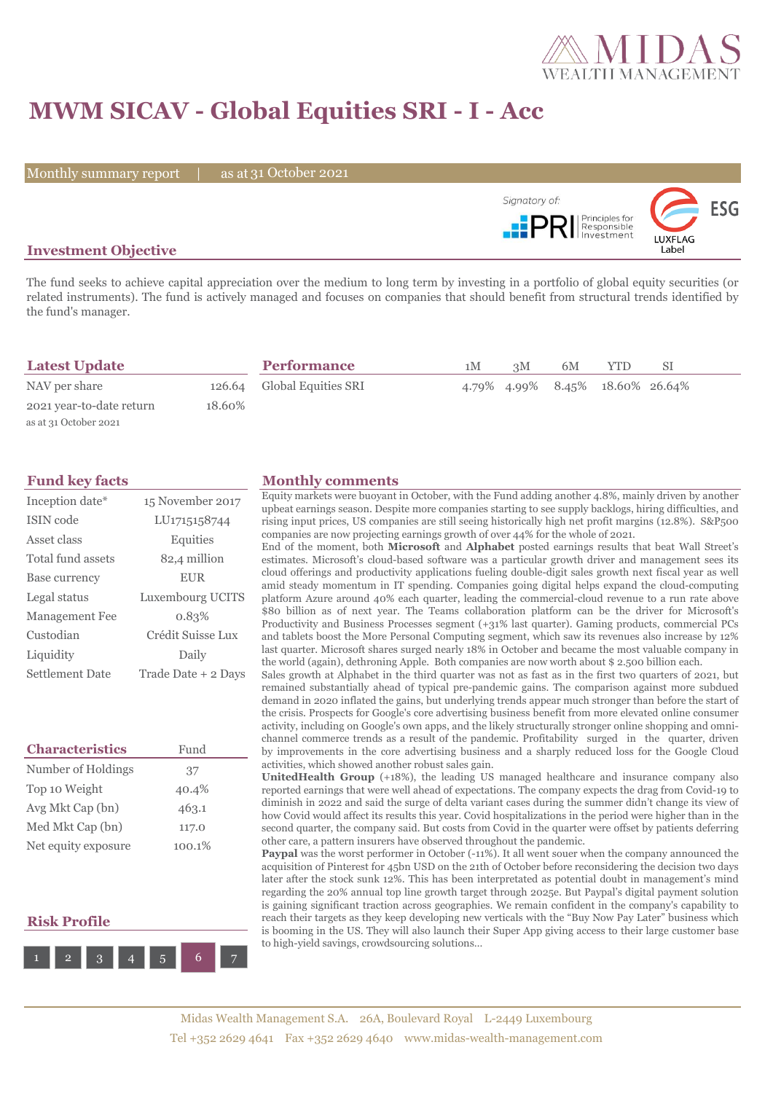

# **MWM SICAV - Global Equities SRI - I - Acc**

Monthly summary report | as at 31 October 2021



### **Investment Objective**

The fund seeks to achieve capital appreciation over the medium to long term by investing in a portfolio of global equity securities (or related instruments). The fund is actively managed and focuses on companies that should benefit from structural trends identified by the fund's manager.

| <b>Latest Update</b>     |        | <b>Performance</b>         | 1M | 3M | 6M | <b>YTD</b>                      | SΙ |  |
|--------------------------|--------|----------------------------|----|----|----|---------------------------------|----|--|
| NAV per share            |        | 126.64 Global Equities SRI |    |    |    | 4.79% 4.99% 8.45% 18.60% 26.64% |    |  |
| 2021 year-to-date return | 18.60% |                            |    |    |    |                                 |    |  |
| as at 31 October 2021    |        |                            |    |    |    |                                 |    |  |

| Inception date*        | 15 November 2017    |
|------------------------|---------------------|
| ISIN code              | LU1715158744        |
| Asset class            | Equities            |
| Total fund assets      | 82,4 million        |
| Base currency          | <b>EUR</b>          |
| Legal status           | Luxembourg UCITS    |
| <b>Management Fee</b>  | 0.83%               |
| Custodian              | Crédit Suisse Lux   |
| Liquidity              | Daily               |
| <b>Settlement Date</b> | Trade Date + 2 Days |

| <b>Characteristics</b> | Fund   |  |  |  |
|------------------------|--------|--|--|--|
| Number of Holdings     | 37     |  |  |  |
| Top 10 Weight          | 40.4%  |  |  |  |
| Avg Mkt Cap (bn)       | 463.1  |  |  |  |
| Med Mkt Cap (bn)       | 117.0  |  |  |  |
| Net equity exposure    | 100.1% |  |  |  |

## **Risk Profile**



#### **Fund key facts Monthly comments**

Equity markets were buoyant in October, with the Fund adding another 4.8%, mainly driven by another upbeat earnings season. Despite more companies starting to see supply backlogs, hiring difficulties, and rising input prices, US companies are still seeing historically high net profit margins (12.8%). S&P500 companies are now projecting earnings growth of over 44% for the whole of 2021.

End of the moment, both **Microsoft** and **Alphabet** posted earnings results that beat Wall Street's estimates. Microsoft's cloud-based software was a particular growth driver and management sees its cloud offerings and productivity applications fueling double-digit sales growth next fiscal year as well amid steady momentum in IT spending. Companies going digital helps expand the cloud-computing platform Azure around 40% each quarter, leading the commercial-cloud revenue to a run rate above \$80 billion as of next year. The Teams collaboration platform can be the driver for Microsoft's Productivity and Business Processes segment (+31% last quarter). Gaming products, commercial PCs and tablets boost the More Personal Computing segment, which saw its revenues also increase by 12% last quarter. Microsoft shares surged nearly 18% in October and became the most valuable company in the world (again), dethroning Apple. Both companies are now worth about \$ 2.500 billion each.

Sales growth at Alphabet in the third quarter was not as fast as in the first two quarters of 2021, but remained substantially ahead of typical pre-pandemic gains. The comparison against more subdued demand in 2020 inflated the gains, but underlying trends appear much stronger than before the start of the crisis. Prospects for Google's core advertising business benefit from more elevated online consumer activity, including on Google's own apps, and the likely structurally stronger online shopping and omnichannel commerce trends as a result of the pandemic. Profitability surged in the quarter, driven by improvements in the core advertising business and a sharply reduced loss for the Google Cloud activities, which showed another robust sales gain.

**UnitedHealth Group** (+18%), the leading US managed healthcare and insurance company also reported earnings that were well ahead of expectations. The company expects the drag from Covid-19 to diminish in 2022 and said the surge of delta variant cases during the summer didn't change its view of how Covid would affect its results this year. Covid hospitalizations in the period were higher than in the second quarter, the company said. But costs from Covid in the quarter were offset by patients deferring other care, a pattern insurers have observed throughout the pandemic.

Paypal was the worst performer in October (-11%). It all went souer when the company announced the acquisition of Pinterest for 45bn USD on the 21th of October before reconsidering the decision two days later after the stock sunk 12%. This has been interpretated as potential doubt in management's mind regarding the 20% annual top line growth target through 2025e. But Paypal's digital payment solution is gaining significant traction across geographies. We remain confident in the company's capability to reach their targets as they keep developing new verticals with the "Buy Now Pay Later" business which is booming in the US. They will also launch their Super App giving access to their large customer base to high-yield savings, crowdsourcing solutions…